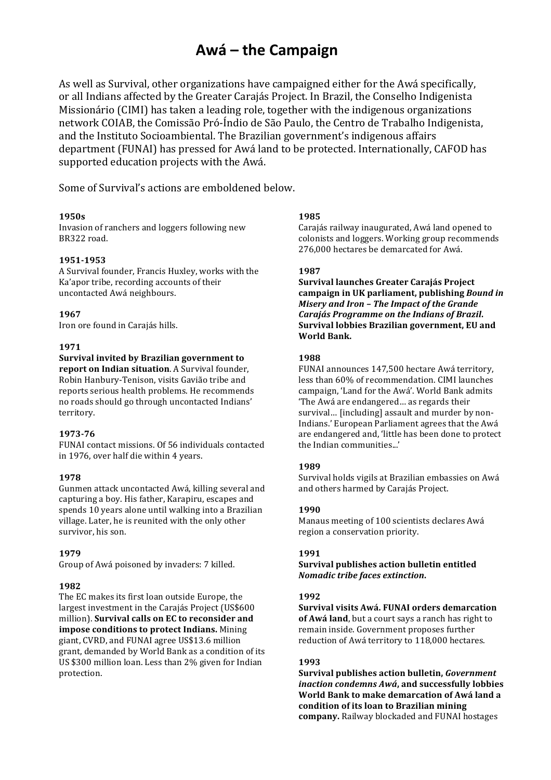# **Awá – the Campaign**

As well as Survival, other organizations have campaigned either for the Awá specifically, or all Indians affected by the Greater Carajás Project. In Brazil, the Conselho Indigenista Missionário (CIMI) has taken a leading role, together with the indigenous organizations network COIAB, the Comissão Pró-Índio de São Paulo, the Centro de Trabalho Indigenista, and the Instituto Socioambiental. The Brazilian government's indigenous affairs department (FUNAI) has pressed for Awá land to be protected. Internationally, CAFOD has supported education projects with the Awá.

Some of Survival's actions are emboldened below.

# **1950s**

Invasion of ranchers and loggers following new BR322 road.

# **1951-1953**

A Survival founder, Francis Huxley, works with the Ka'apor tribe, recording accounts of their uncontacted Awá neighbours.

# **1967**

Iron ore found in Carajás hills.

#### **1971**

**Survival invited by Brazilian government to report on Indian situation**. A Survival founder, Robin Hanbury-Tenison, visits Gavião tribe and reports serious health problems. He recommends no roads should go through uncontacted Indians' territory.

#### **1973-76**

FUNAI contact missions. Of 56 individuals contacted in 1976, over half die within 4 years.

#### **1978**

Gunmen attack uncontacted Awá, killing several and capturing a boy. His father, Karapiru, escapes and spends 10 years alone until walking into a Brazilian village. Later, he is reunited with the only other survivor, his son.

# **1979**

Group of Awá poisoned by invaders: 7 killed.

# **1982**

The EC makes its first loan outside Europe, the largest investment in the Carajás Project (US\$600) million). **Survival calls on EC to reconsider and impose conditions to protect Indians.** Mining giant, CVRD, and FUNAI agree US\$13.6 million grant, demanded by World Bank as a condition of its US \$300 million loan. Less than 2% given for Indian protection.

# **1985**

Carajás railway inaugurated, Awá land opened to colonists and loggers. Working group recommends 276,000 hectares be demarcated for Awá.

# **1987**

**Survival launches Greater Carajás Project**  campaign in UK parliament, publishing *Bound in Misery and Iron - The Impact of the Grande Carajás Programme on the Indians of Brazil.* **Survival lobbies Brazilian government, EU and World Bank.**

# **1988**

FUNAI announces 147,500 hectare Awá territory, less than 60% of recommendation. CIMI launches campaign, 'Land for the Awá'. World Bank admits 'The Awá are endangered... as regards their survival... [including] assault and murder by non-Indians.' European Parliament agrees that the Awá are endangered and, 'little has been done to protect the Indian communities...'

#### **1989**

Survival holds vigils at Brazilian embassies on Awá and others harmed by Carajás Project.

# **1990**

Manaus meeting of 100 scientists declares Awá region a conservation priority.

# **1991**

**Survival publishes action bulletin entitled** *Nomadic tribe faces extinction***.**

#### **1992**

**Survival visits Awá. FUNAI orders demarcation of Awá land**, but a court says a ranch has right to remain inside. Government proposes further reduction of Awá territory to 118,000 hectares.

# **1993**

**Survival publishes action bulletin, Government** *inaction condemns Awá*, and successfully lobbies **World Bank to make demarcation of Awá land a condition of its loan to Brazilian mining company.** Railway blockaded and FUNAI hostages